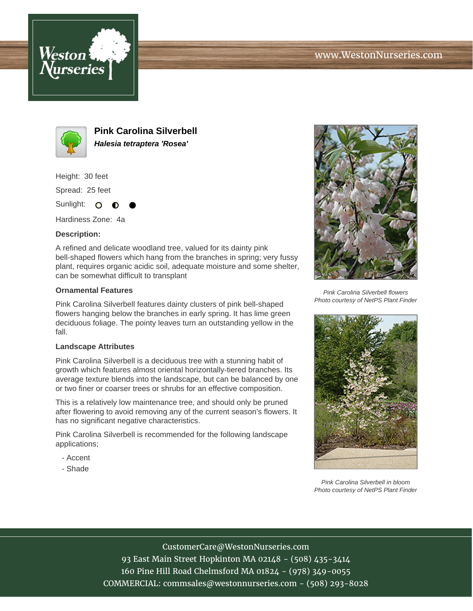



**Pink Carolina Silverbell Halesia tetraptera 'Rosea'**

Height: 30 feet

Spread: 25 feet

Sunlight: O ∩

Hardiness Zone: 4a

## **Description:**

A refined and delicate woodland tree, valued for its dainty pink bell-shaped flowers which hang from the branches in spring; very fussy plant, requires organic acidic soil, adequate moisture and some shelter, can be somewhat difficult to transplant

## **Ornamental Features**

Pink Carolina Silverbell features dainty clusters of pink bell-shaped flowers hanging below the branches in early spring. It has lime green deciduous foliage. The pointy leaves turn an outstanding yellow in the fall.

## **Landscape Attributes**

Pink Carolina Silverbell is a deciduous tree with a stunning habit of growth which features almost oriental horizontally-tiered branches. Its average texture blends into the landscape, but can be balanced by one or two finer or coarser trees or shrubs for an effective composition.

This is a relatively low maintenance tree, and should only be pruned after flowering to avoid removing any of the current season's flowers. It has no significant negative characteristics.

Pink Carolina Silverbell is recommended for the following landscape applications;

- Accent
- Shade



Pink Carolina Silverbell flowers Photo courtesy of NetPS Plant Finder



Pink Carolina Silverbell in bloom Photo courtesy of NetPS Plant Finder

CustomerCare@WestonNurseries.com 93 East Main Street Hopkinton MA 02148 - (508) 435-3414 160 Pine Hill Road Chelmsford MA 01824 - (978) 349-0055 COMMERCIAL: commsales@westonnurseries.com - (508) 293-8028